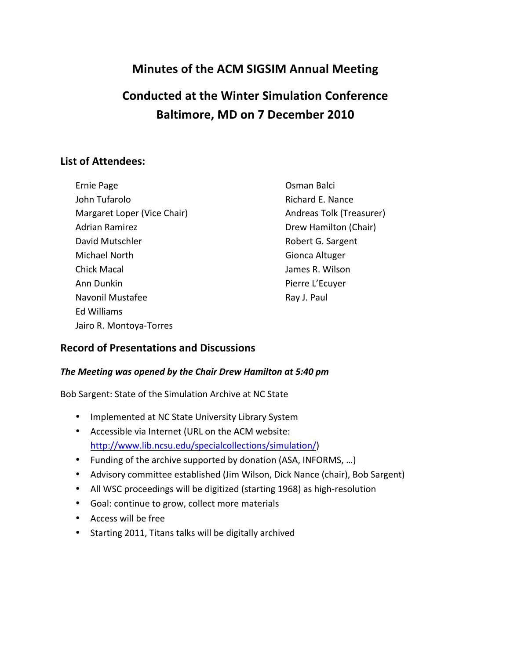# **Minutes of the ACM SIGSIM Annual Meeting**

# **Conducted at the Winter Simulation Conference Baltimore, MD on 7 December 2010**

# **List of Attendees:**

| Ernie Page                  | Osman Balci              |
|-----------------------------|--------------------------|
| John Tufarolo               | Richard E. Nance         |
| Margaret Loper (Vice Chair) | Andreas Tolk (Treasurer) |
| <b>Adrian Ramirez</b>       | Drew Hamilton (Chair)    |
| David Mutschler             | Robert G. Sargent        |
| Michael North               | Gionca Altuger           |
| <b>Chick Macal</b>          | James R. Wilson          |
| Ann Dunkin                  | Pierre L'Ecuyer          |
| Navonil Mustafee            | Ray J. Paul              |
| <b>Ed Williams</b>          |                          |
| Jairo R. Montoya-Torres     |                          |

## **Record of Presentations and Discussions**

#### The Meeting was opened by the Chair Drew Hamilton at 5:40 pm

Bob Sargent: State of the Simulation Archive at NC State

- Implemented at NC State University Library System
- Accessible via Internet (URL on the ACM website: http://www.lib.ncsu.edu/specialcollections/simulation/)
- Funding of the archive supported by donation (ASA, INFORMS, ...)
- Advisory committee established (Jim Wilson, Dick Nance (chair), Bob Sargent)
- All WSC proceedings will be digitized (starting 1968) as high-resolution
- Goal: continue to grow, collect more materials
- Access will be free
- Starting 2011, Titans talks will be digitally archived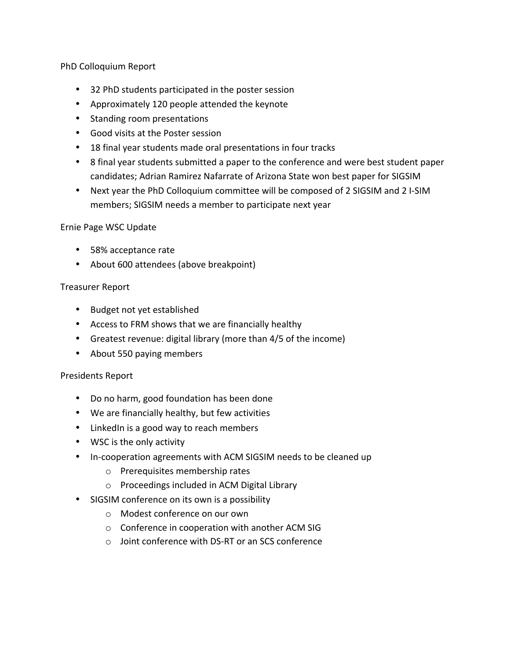PhD Colloquium Report

- 32 PhD students participated in the poster session
- Approximately 120 people attended the keynote
- Standing room presentations
- Good visits at the Poster session
- 18 final year students made oral presentations in four tracks
- 8 final year students submitted a paper to the conference and were best student paper candidates; Adrian Ramirez Nafarrate of Arizona State won best paper for SIGSIM
- Next year the PhD Colloquium committee will be composed of 2 SIGSIM and 2 I-SIM members; SIGSIM needs a member to participate next year

#### Ernie Page WSC Update

- 58% acceptance rate
- About 600 attendees (above breakpoint)

#### Treasurer Report

- Budget not yet established
- Access to FRM shows that we are financially healthy
- Greatest revenue: digital library (more than  $4/5$  of the income)
- About 550 paying members

#### Presidents Report

- Do no harm, good foundation has been done
- We are financially healthy, but few activities
- LinkedIn is a good way to reach members
- WSC is the only activity
- In-cooperation agreements with ACM SIGSIM needs to be cleaned up
	- $o$  Prerequisites membership rates
	- $\circ$  Proceedings included in ACM Digital Library
- SIGSIM conference on its own is a possibility
	- o Modest conference on our own
	- $\circ$  Conference in cooperation with another ACM SIG
	- $\circ$  Joint conference with DS-RT or an SCS conference